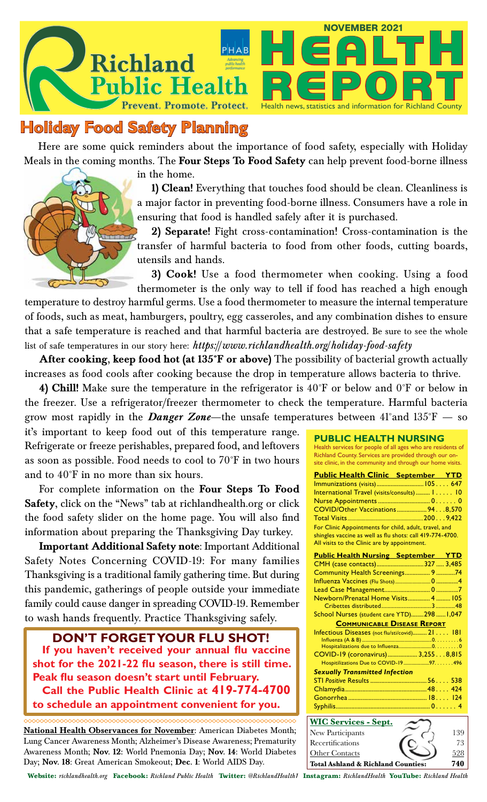



# **Holiday Food Safety Planning**

Here are some quick reminders about the importance of food safety, especially with Holiday Meals in the coming months. The **Four Steps To Food Safety** can help prevent food-borne illness

in the home.

**1) Clean!** Everything that touches food should be clean. Cleanliness is a major factor in preventing food-borne illness. Consumers have a role in ensuring that food is handled safely after it is purchased.

**2) Separate!** Fight cross-contamination! Cross-contamination is the transfer of harmful bacteria to food from other foods, cutting boards, utensils and hands.

**3) Cook!** Use a food thermometer when cooking. Using a food thermometer is the only way to tell if food has reached a high enough

temperature to destroy harmful germs. Use a food thermometer to measure the internal temperature of foods, such as meat, hamburgers, poultry, egg casseroles, and any combination dishes to ensure that a safe temperature is reached and that harmful bacteria are destroyed. Be sure to see the whole list of safe temperatures in our story here: *https://www.richlandhealth.org/holiday-food-safety*

**After cooking, keep food hot (at 135°F or above)** The possibility of bacterial growth actually increases as food cools after cooking because the drop in temperature allows bacteria to thrive.

**4) Chill!** Make sure the temperature in the refrigerator is 40°F or below and 0°F or below in the freezer. Use a refrigerator/freezer thermometer to check the temperature. Harmful bacteria grow most rapidly in the *Danger Zone*—the unsafe temperatures between 41°and 135°F — so

it's important to keep food out of this temperature range. Refrigerate or freeze perishables, prepared food, and leftovers as soon as possible. Food needs to cool to 70°F in two hours and to 40°F in no more than six hours.

For complete information on the **Four Steps To Food Safety**, click on the "News" tab at richlandhealth.org or click the food safety slider on the home page. You will also find information about preparing the Thanksgiving Day turkey.

**Important Additional Safety note**: Important Additional Safety Notes Concerning COVID-19: For many families Thanksgiving is a traditional family gathering time. But during this pandemic, gatherings of people outside your immediate family could cause danger in spreading COVID-19. Remember to wash hands frequently. Practice Thanksgiving safely.

**DON'T FORGET YOUR FLU SHOT! If you haven't received your annual flu vaccine shot for the 2021-22 flu season, there is still time. Peak flu season doesn't start until February. Call the Public Health Clinic at 419-774-4700 to schedule an appointment convenient for you.**

**National Health Observances for November:** American Diabetes Month; Lung Cancer Awareness Month; Alzheimer's Disease Awareness; Prematurity Awareness Month; **Nov. 12:** World Pnemonia Day; **Nov. 14**: World Diabetes Day; **Nov. 18**: Great American Smokeout; **Dec. 1**: World AIDS Day.

**PUBLIC HEALTH NURSING** Health services for people of all ages who are residents of Richland County. Services are provided through our onsite clinic, in the community and through our home visits.

| <b>Public Health Clinic September YTD</b>                                                                                                                          |  |  |  |
|--------------------------------------------------------------------------------------------------------------------------------------------------------------------|--|--|--|
|                                                                                                                                                                    |  |  |  |
| International Travel (visits/consults)  1 10                                                                                                                       |  |  |  |
|                                                                                                                                                                    |  |  |  |
| COVID/Other Vaccinations  94. 8,570                                                                                                                                |  |  |  |
|                                                                                                                                                                    |  |  |  |
| For Clinic Appointments for child, adult, travel, and<br>shingles vaccine as well as flu shots: call 419-774-4700.<br>All visits to the Clinic are by appointment. |  |  |  |
| <b>Public Health Nursing September YTD</b>                                                                                                                         |  |  |  |
|                                                                                                                                                                    |  |  |  |

| CMH (case contacts)327  3,485                  |  |  |  |  |
|------------------------------------------------|--|--|--|--|
| Community Health Screenings 9 74               |  |  |  |  |
|                                                |  |  |  |  |
|                                                |  |  |  |  |
| Newborn/Prenatal Home Visits 4  105            |  |  |  |  |
|                                                |  |  |  |  |
| School Nurses (student care YTD)298  1,047     |  |  |  |  |
| <b>COMMUNICABLE DISEASE REPORT</b>             |  |  |  |  |
| Infectious Diseases (not flu/sti/covid) 21 181 |  |  |  |  |
|                                                |  |  |  |  |
|                                                |  |  |  |  |
| COVID-19 (coronavirus) 3,2558,815              |  |  |  |  |
| Hospitilizations Due to COVID-19 97. 496       |  |  |  |  |
| <b>Sexually Transmitted Infection</b>          |  |  |  |  |
|                                                |  |  |  |  |
|                                                |  |  |  |  |
|                                                |  |  |  |  |
|                                                |  |  |  |  |
| $\mathbf{M}$                                   |  |  |  |  |

| <b>WIC Services - Sept.</b>                   |  |     |
|-----------------------------------------------|--|-----|
| New Participants                              |  | 139 |
| Recertifications                              |  | 73  |
| <b>Other Contacts</b>                         |  | 528 |
| <b>Total Ashland &amp; Richland Counties:</b> |  | 741 |

Website: *richlandhealth.org* Facebook: *Richland Public Health* Twitter: *@RichlandHealth1* Instagram: *RichlandHealth* YouTube: *Richland Health*